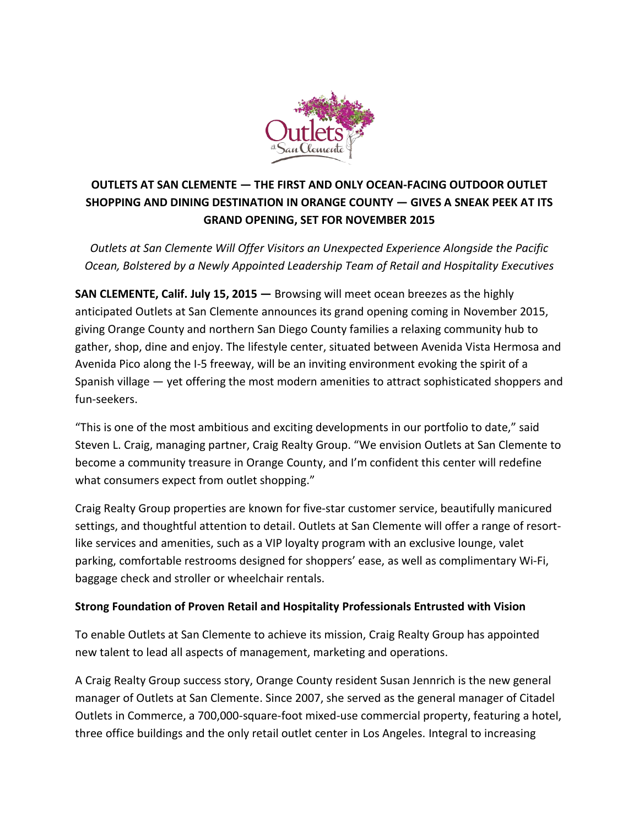

## **OUTLETS AT SAN CLEMENTE — THE FIRST AND ONLY OCEAN-FACING OUTDOOR OUTLET SHOPPING AND DINING DESTINATION IN ORANGE COUNTY — GIVES A SNEAK PEEK AT ITS GRAND OPENING, SET FOR NOVEMBER 2015**

*Outlets at San Clemente Will Offer Visitors an Unexpected Experience Alongside the Pacific Ocean, Bolstered by a Newly Appointed Leadership Team of Retail and Hospitality Executives*

**SAN CLEMENTE, Calif. July 15, 2015 – Browsing will meet ocean breezes as the highly** anticipated Outlets at San Clemente announces its grand opening coming in November 2015, giving Orange County and northern San Diego County families a relaxing community hub to gather, shop, dine and enjoy. The lifestyle center, situated between Avenida Vista Hermosa and Avenida Pico along the I-5 freeway, will be an inviting environment evoking the spirit of a Spanish village — yet offering the most modern amenities to attract sophisticated shoppers and fun-seekers.

"This is one of the most ambitious and exciting developments in our portfolio to date," said Steven L. Craig, managing partner, Craig Realty Group. "We envision Outlets at San Clemente to become a community treasure in Orange County, and I'm confident this center will redefine what consumers expect from outlet shopping."

Craig Realty Group properties are known for five-star customer service, beautifully manicured settings, and thoughtful attention to detail. Outlets at San Clemente will offer a range of resortlike services and amenities, such as a VIP loyalty program with an exclusive lounge, valet parking, comfortable restrooms designed for shoppers' ease, as well as complimentary Wi-Fi, baggage check and stroller or wheelchair rentals.

## **Strong Foundation of Proven Retail and Hospitality Professionals Entrusted with Vision**

To enable Outlets at San Clemente to achieve its mission, Craig Realty Group has appointed new talent to lead all aspects of management, marketing and operations.

A Craig Realty Group success story, Orange County resident Susan Jennrich is the new general manager of Outlets at San Clemente. Since 2007, she served as the general manager of Citadel Outlets in Commerce, a 700,000-square-foot mixed-use commercial property, featuring a hotel, three office buildings and the only retail outlet center in Los Angeles. Integral to increasing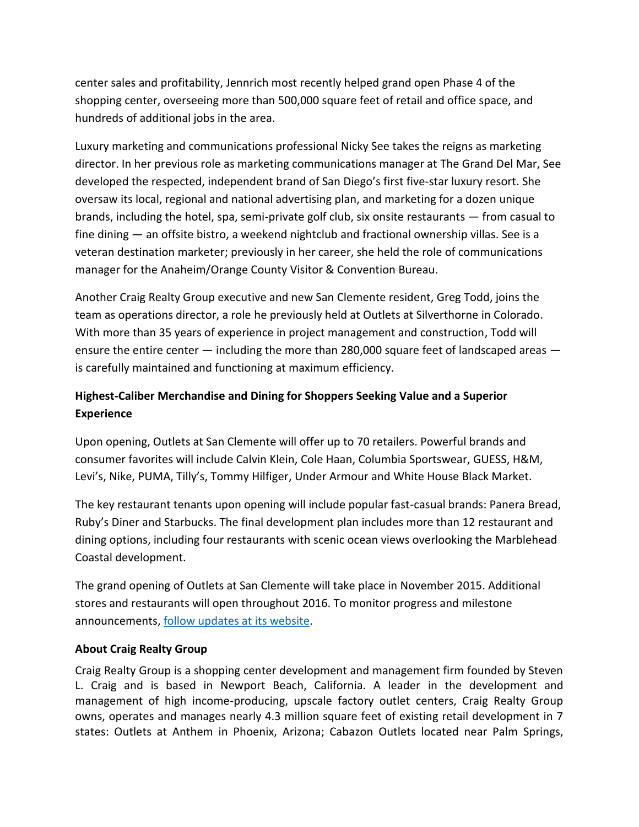center sales and profitability, Jennrich most recently helped grand open Phase 4 of the shopping center, overseeing more than 500,000 square feet of retail and office space, and hundreds of additional jobs in the area.

Luxury marketing and communications professional Nicky See takes the reigns as marketing director. In her previous role as marketing communications manager at The Grand Del Mar, See developed the respected, independent brand of San Diego's first five-star luxury resort. She oversaw its local, regional and national advertising plan, and marketing for a dozen unique brands, including the hotel, spa, semi-private golf club, six onsite restaurants — from casual to fine dining — an offsite bistro, a weekend nightclub and fractional ownership villas. See is a veteran destination marketer; previously in her career, she held the role of communications manager for the Anaheim/Orange County Visitor & Convention Bureau.

Another Craig Realty Group executive and new San Clemente resident, Greg Todd, joins the team as operations director, a role he previously held at Outlets at Silverthorne in Colorado. With more than 35 years of experience in project management and construction, Todd will ensure the entire center — including the more than 280,000 square feet of landscaped areas is carefully maintained and functioning at maximum efficiency.

## **Highest-Caliber Merchandise and Dining for Shoppers Seeking Value and a Superior Experience**

Upon opening, Outlets at San Clemente will offer up to 70 retailers. Powerful brands and consumer favorites will include Calvin Klein, Cole Haan, Columbia Sportswear, GUESS, H&M, Levi's, Nike, PUMA, Tilly's, Tommy Hilfiger, Under Armour and White House Black Market.

The key restaurant tenants upon opening will include popular fast-casual brands: Panera Bread, Ruby's Diner and Starbucks. The final development plan includes more than 12 restaurant and dining options, including four restaurants with scenic ocean views overlooking the Marblehead Coastal development.

The grand opening of Outlets at San Clemente will take place in November 2015. Additional stores and restaurants will open throughout 2016. To monitor progress and milestone announcements[, follow updates at its website.](http://www.outletsatsanclemente.com/)

## **About Craig Realty Group**

Craig Realty Group is a shopping center development and management firm founded by Steven L. Craig and is based in Newport Beach, California. A leader in the development and management of high income-producing, upscale factory outlet centers, Craig Realty Group owns, operates and manages nearly 4.3 million square feet of existing retail development in 7 states: Outlets at Anthem in Phoenix, Arizona; Cabazon Outlets located near Palm Springs,